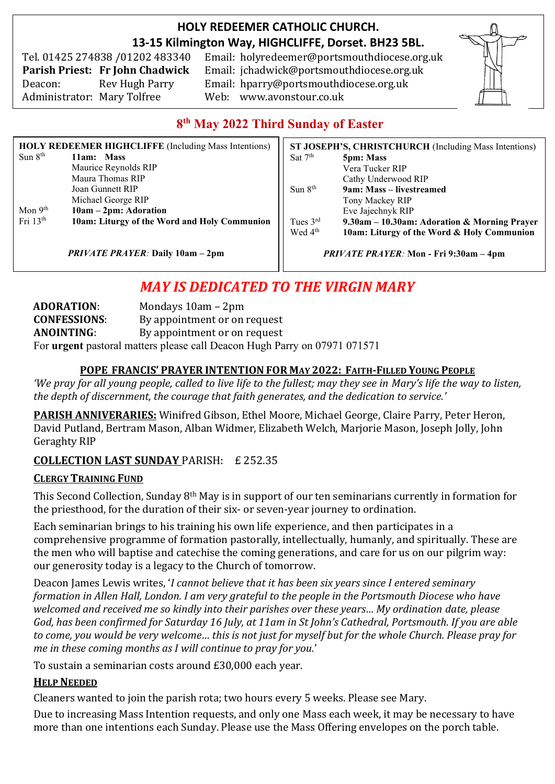## **HOLY REDEEMER CATHOLIC CHURCH. 13-15 Kilmington Way, HIGHCLIFFE, Dorset. BH23 5BL.**

Tel. 01425 274838 /01202 483340 Administrator: Mary Tolfree Web: www.avonstour.co.uk

Email: holyredeemer@portsmouthdiocese.org.uk **Parish Priest: Fr John Chadwick** Email: jchadwick@portsmouthdiocese.org.uk Deacon: Rev Hugh Parry Email: hparry@portsmouthdiocese.org.uk



# **8 th May 2022 Third Sunday of Easter**

| <b>HOLY REDEEMER HIGHCLIFFE (Including Mass Intentions)</b> |                                              |  |
|-------------------------------------------------------------|----------------------------------------------|--|
| Sun $8th$                                                   | 11am: Mass                                   |  |
|                                                             | Maurice Reynolds RIP                         |  |
|                                                             | Maura Thomas RIP                             |  |
|                                                             | Joan Gunnett RIP                             |  |
|                                                             | Michael George RIP                           |  |
| Mon 9 <sup>th</sup>                                         | 10am - 2pm: Adoration                        |  |
| Fri $13th$                                                  | 10am: Liturgy of the Word and Holy Communion |  |

*PRIVATE PRAYER:* **Daily 10am – 2pm**

**ST JOSEPH'S, CHRISTCHURCH** (Including Mass Intentions) Sat 7<sup>th</sup> th **5pm: Mass** Vera Tucker RIP Cathy Underwood RIP Sun 8<sup>th</sup> th **9am: Mass – livestreamed** Tony Mackey RIP Eve Jajechnyk RIP Tues 3rd rd **9.30am – 10.30am: Adoration & Morning Prayer** Wed 4<sup>th</sup> 10am: Liturgy of the Word & Holy Communion *PRIVATE PRAYER:* **Mon - Fri 9:30am – 4pm**

# *MAY IS DEDICATED TO THE VIRGIN MARY*

**ADORATION**: Mondays 10am – 2pm **CONFESSIONS**: By appointment or on request **ANOINTING**: By appointment or on request For **urgent** pastoral matters please call Deacon Hugh Parry on 07971 071571

#### **POPE FRANCIS' PRAYER INTENTION FOR MAY 2022: FAITH-FILLED YOUNG PEOPLE**

*'We pray for all young people, called to live life to the fullest; may they see in Mary's life the way to listen, the depth of discernment, the courage that faith generates, and the dedication to service.'*

**PARISH ANNIVERARIES:** Winifred Gibson, Ethel Moore, Michael George, Claire Parry, Peter Heron, David Putland, Bertram Mason, Alban Widmer, Elizabeth Welch, Marjorie Mason, Joseph Jolly, John Geraghty RIP

## **COLLECTION LAST SUNDAY** PARISH: £ 252.35

#### **CLERGY TRAINING FUND**

This Second Collection, Sunday 8th May is in support of our ten seminarians currently in formation for the priesthood, for the duration of their six- or seven-year journey to ordination.

Each seminarian brings to his training his own life experience, and then participates in a comprehensive programme of formation pastorally, intellectually, humanly, and spiritually. These are the men who will baptise and catechise the coming generations, and care for us on our pilgrim way: our generosity today is a legacy to the Church of tomorrow.

Deacon James Lewis writes, '*I cannot believe that it has been six years since I entered seminary formation in Allen Hall, London. I am very grateful to the people in the Portsmouth Diocese who have welcomed and received me so kindly into their parishes over these years… My ordination date, please God, has been confirmed for Saturday 16 July, at 11am in St John's Cathedral, Portsmouth. If you are able to come, you would be very welcome… this is not just for myself but for the whole Church. Please pray for me in these coming months as I will continue to pray for you.*'

To sustain a seminarian costs around £30,000 each year.

#### **HELP NEEDED**

Cleaners wanted to join the parish rota; two hours every 5 weeks. Please see Mary.

Due to increasing Mass Intention requests, and only one Mass each week, it may be necessary to have more than one intentions each Sunday. Please use the Mass Offering envelopes on the porch table.